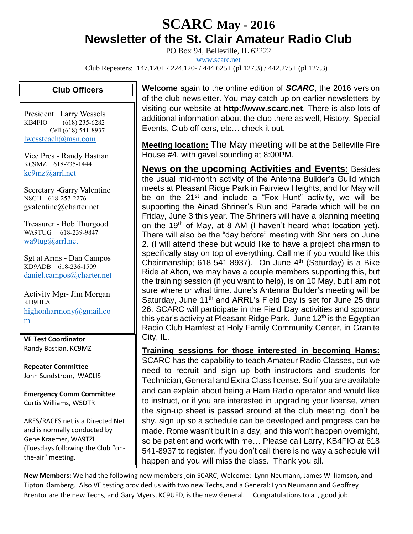## **SCARC May - <sup>2016</sup> Newsletter of the St. Clair Amateur Radio Club**

PO Box 94, Belleville, IL 62222

[www.scarc.net](http://www.scarc.net/)

Club Repeaters: 147.120+ / 224.120- / 444.625+ (pl 127.3) / 442.275+ (pl 127.3)

## **Club Officers**

President - Larry Wessels KB4FIO (618) 235-6282 Cell (618) 541-8937 [lwessteach@msn.com](mailto:lwessteach@msn.com)

Vice Pres - Randy Bastian KC9MZ 618-235-1444 [kc9mz@arrl.net](mailto:kc9mz@arrl.net)

Secretary -Garry Valentine N8GIL 618-257-2276 gvalentine@charter.net

Treasurer - Bob Thurgood WA9TUG 618-239-9847 [wa9tug@arrl.net](mailto:wa9tug@arrl.net)

Sgt at Arms - Dan Campos KD9ADB 618-236-1509 [daniel.campos@charter.net](mailto:daniel.campos@charter.net)

Activity Mgr- Jim Morgan KD9BLA [highonharmony@gmail.co](mailto:highonharmony@gmail.com) [m](mailto:highonharmony@gmail.com)

**VE Test Coordinator** Randy Bastian, KC9MZ

**Repeater Committee** John Sundstrom, WA0LIS

**Emergency Comm Committee** Curtis Williams, W5DTR

ARES/RACES net is a Directed Net and is normally conducted by Gene Kraemer, WA9TZL (Tuesdays following the Club "onthe-air" meeting.

**Welcome** again to the online edition of *SCARC*, the 2016 version of the club newsletter. You may catch up on earlier newsletters by visiting our website at **http://www.scarc.net**. There is also lots of additional information about the club there as well, History, Special Events, Club officers, etc… check it out.

**Meeting location:** The May meeting will be at the Belleville Fire House #4, with gavel sounding at 8:00PM.

**News on the upcoming Activities and Events:** Besides the usual mid-month activity of the Antenna Builder's Guild which meets at Pleasant Ridge Park in Fairview Heights, and for May will be on the 21<sup>st</sup> and include a "Fox Hunt" activity, we will be supporting the Ainad Shriner's Run and Parade which will be on Friday, June 3 this year. The Shriners will have a planning meeting on the 19<sup>th</sup> of May, at 8 AM (I haven't heard what location yet). There will also be the "day before" meeting with Shriners on June 2. (I will attend these but would like to have a project chairman to specifically stay on top of everything. Call me if you would like this Chairmanship; 618-541-8937). On June  $4<sup>th</sup>$  (Saturday) is a Bike Ride at Alton, we may have a couple members supporting this, but the training session (if you want to help), is on 10 May, but I am not sure where or what time. June's Antenna Builder's meeting will be Saturday, June 11<sup>th</sup> and ARRL's Field Day is set for June 25 thru 26. SCARC will participate in the Field Day activities and sponsor this year's activity at Pleasant Ridge Park. June  $12<sup>th</sup>$  is the Egyptian Radio Club Hamfest at Holy Family Community Center, in Granite City, IL.

**Training sessions for those interested in becoming Hams:** SCARC has the capability to teach Amateur Radio Classes, but we need to recruit and sign up both instructors and students for Technician, General and Extra Class license. So if you are available and can explain about being a Ham Radio operator and would like to instruct, or if you are interested in upgrading your license, when the sign-up sheet is passed around at the club meeting, don't be shy, sign up so a schedule can be developed and progress can be made. Rome wasn't built in a day, and this won't happen overnight, so be patient and work with me… Please call Larry, KB4FIO at 618 541-8937 to register. If you don't call there is no way a schedule will happen and you will miss the class. Thank you all.

**New Members:** We had the following new members join SCARC; Welcome: Lynn Neumann, James Williamson, and Tipton Klamberg. Also VE testing provided us with two new Techs, and a General: Lynn Neumann and Geoffrey Brentor are the new Techs, and Gary Myers, KC9UFD, is the new General. Congratulations to all, good job.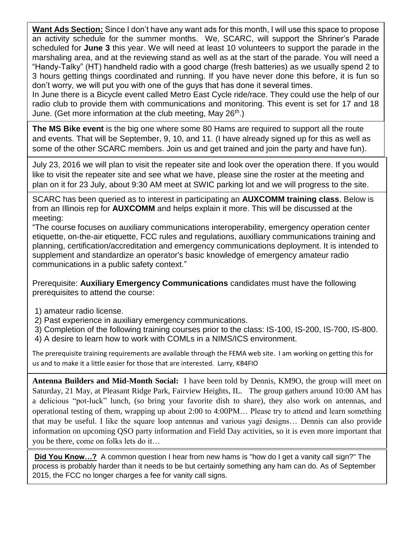**Want Ads Section:** Since I don't have any want ads for this month, I will use this space to propose an activity schedule for the summer months. We, SCARC, will support the Shriner's Parade scheduled for **June 3** this year. We will need at least 10 volunteers to support the parade in the marshaling area, and at the reviewing stand as well as at the start of the parade. You will need a "Handy-Talky" (HT) handheld radio with a good charge (fresh batteries) as we usually spend 2 to 3 hours getting things coordinated and running. If you have never done this before, it is fun so don't worry, we will put you with one of the guys that has done it several times.

In June there is a Bicycle event called Metro East Cycle ride/race. They could use the help of our radio club to provide them with communications and monitoring. This event is set for 17 and 18 June. (Get more information at the club meeting, May  $26<sup>th</sup>$ .)

**The MS Bike event** is the big one where some 80 Hams are required to support all the route and events. That will be September, 9, 10, and 11. (I have already signed up for this as well as some of the other SCARC members. Join us and get trained and join the party and have fun).

July 23, 2016 we will plan to visit the repeater site and look over the operation there. If you would like to visit the repeater site and see what we have, please sine the roster at the meeting and plan on it for 23 July, about 9:30 AM meet at SWIC parking lot and we will progress to the site.

SCARC has been queried as to interest in participating an **AUXCOMM training class**. Below is from an Illinois rep for **AUXCOMM** and helps explain it more. This will be discussed at the meeting:

"The course focuses on auxiliary communications interoperability, emergency operation center etiquette, on-the-air etiquette, FCC rules and regulations, auxilliary communications training and planning, certification/accreditation and emergency communications deployment. It is intended to supplement and standardize an operator's basic knowledge of emergency amateur radio communications in a public safety context."

Prerequisite: **Auxiliary Emergency Communications** candidates must have the following prerequisites to attend the course:

- 1) amateur radio license.
- 2) Past experience in auxiliary emergency communications.
- 3) Completion of the following training courses prior to the class: IS-100, IS-200, IS-700, IS-800.
- 4) A desire to learn how to work with COMLs in a NIMS/ICS environment.

The prerequisite training requirements are available through the FEMA web site. I am working on getting this for us and to make it a little easier for those that are interested. Larry, KB4FIO

**Antenna Builders and Mid-Month Social:** I have been told by Dennis, KM9O, the group will meet on Saturday, 21 May, at Pleasant Ridge Park, Fairview Heights, IL. The group gathers around 10:00 AM has a delicious "pot-luck" lunch, (so bring your favorite dish to share), they also work on antennas, and operational testing of them, wrapping up about 2:00 to 4:00PM… Please try to attend and learn something that may be useful. I like the square loop antennas and various yagi designs… Dennis can also provide information on upcoming QSO party information and Field Day activities, so it is even more important that you be there, come on folks lets do it…

**Did You Know…?** A common question I hear from new hams is "how do I get a vanity call sign?" The process is probably harder than it needs to be but certainly something any ham can do. As of September 2015, the FCC no longer charges a fee for vanity call signs.